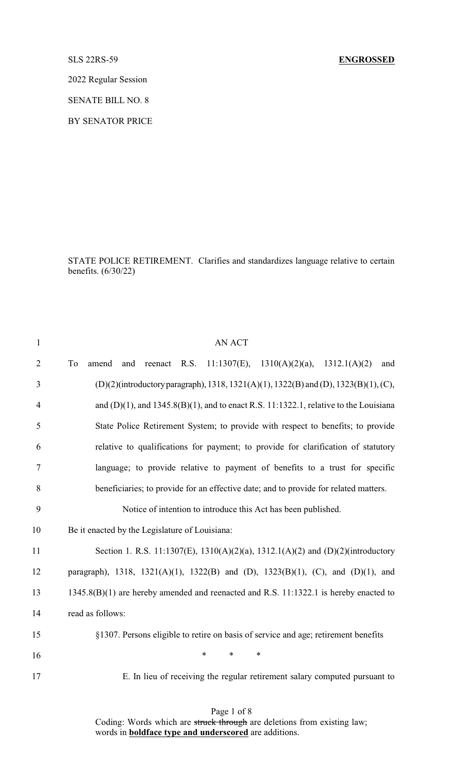## SLS 22RS-59 **ENGROSSED**

2022 Regular Session

SENATE BILL NO. 8

BY SENATOR PRICE

STATE POLICE RETIREMENT. Clarifies and standardizes language relative to certain benefits. (6/30/22)

| $\mathbf{1}$   | <b>AN ACT</b>                                                                              |
|----------------|--------------------------------------------------------------------------------------------|
| $\overline{2}$ | 11:1307(E), 1310(A)(2)(a), 1312.1(A)(2)<br>To<br>reenact R.S.<br>and<br>amend<br>and       |
| 3              | (D)(2)(introductory paragraph), 1318, 1321(A)(1), 1322(B) and (D), 1323(B)(1), (C),        |
| $\overline{4}$ | and $(D)(1)$ , and $1345.8(B)(1)$ , and to enact R.S. 11:1322.1, relative to the Louisiana |
| 5              | State Police Retirement System; to provide with respect to benefits; to provide            |
| 6              | relative to qualifications for payment; to provide for clarification of statutory          |
| 7              | language; to provide relative to payment of benefits to a trust for specific               |
| 8              | beneficiaries; to provide for an effective date; and to provide for related matters.       |
| 9              | Notice of intention to introduce this Act has been published.                              |
| 10             | Be it enacted by the Legislature of Louisiana:                                             |
| 11             | Section 1. R.S. 11:1307(E), 1310(A)(2)(a), 1312.1(A)(2) and (D)(2)(introductory            |
| 12             | paragraph), 1318, 1321(A)(1), 1322(B) and (D), 1323(B)(1), (C), and (D)(1), and            |
| 13             | 1345.8(B)(1) are hereby amended and reenacted and R.S. 11:1322.1 is hereby enacted to      |
| 14             | read as follows:                                                                           |
| 15             | §1307. Persons eligible to retire on basis of service and age; retirement benefits         |
| 16             | $\ast$<br>*<br>∗                                                                           |
| 17             | E. In lieu of receiving the regular retirement salary computed pursuant to                 |

Page 1 of 8 Coding: Words which are struck through are deletions from existing law; words in **boldface type and underscored** are additions.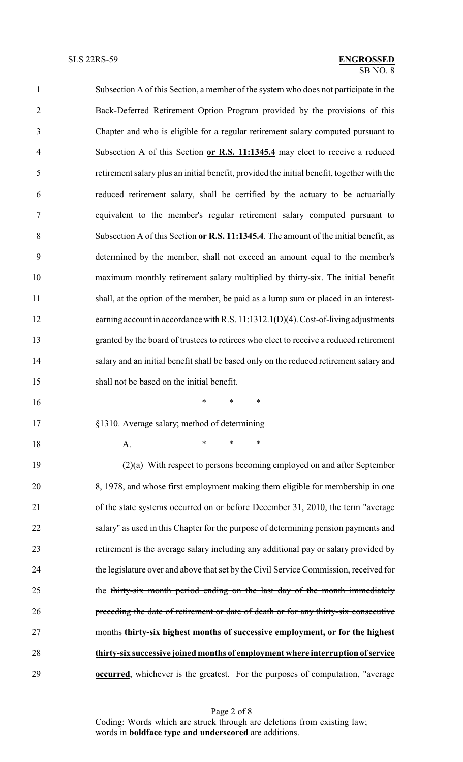| $\mathbf{1}$   | Subsection A of this Section, a member of the system who does not participate in the       |
|----------------|--------------------------------------------------------------------------------------------|
| $\overline{2}$ | Back-Deferred Retirement Option Program provided by the provisions of this                 |
| 3              | Chapter and who is eligible for a regular retirement salary computed pursuant to           |
| $\overline{4}$ | Subsection A of this Section or R.S. 11:1345.4 may elect to receive a reduced              |
| 5              | retirement salary plus an initial benefit, provided the initial benefit, together with the |
| 6              | reduced retirement salary, shall be certified by the actuary to be actuarially             |
| $\tau$         | equivalent to the member's regular retirement salary computed pursuant to                  |
| 8              | Subsection A of this Section or R.S. 11:1345.4. The amount of the initial benefit, as      |
| 9              | determined by the member, shall not exceed an amount equal to the member's                 |
| 10             | maximum monthly retirement salary multiplied by thirty-six. The initial benefit            |
| 11             | shall, at the option of the member, be paid as a lump sum or placed in an interest-        |
| 12             | earning account in accordance with R.S. 11:1312.1(D)(4). Cost-of-living adjustments        |
| 13             | granted by the board of trustees to retirees who elect to receive a reduced retirement     |
| 14             | salary and an initial benefit shall be based only on the reduced retirement salary and     |
| 15             | shall not be based on the initial benefit.                                                 |
| 16             | $\ast$<br>$\ast$<br>∗                                                                      |
| 17             | §1310. Average salary; method of determining                                               |
| 18             | $\ast$<br>*<br>∗<br>A.                                                                     |
| 19             | $(2)(a)$ With respect to persons becoming employed on and after September                  |
| 20             | 8, 1978, and whose first employment making them eligible for membership in one             |
| 21             | of the state systems occurred on or before December 31, 2010, the term "average            |
| 22             | salary" as used in this Chapter for the purpose of determining pension payments and        |
| 23             | retirement is the average salary including any additional pay or salary provided by        |
| 24             | the legislature over and above that set by the Civil Service Commission, received for      |
| 25             | the thirty-six month period ending on the last day of the month immediately                |
|                |                                                                                            |

 **thirty-six successive joined months of employment where interruption of service occurred**, whichever is the greatest. For the purposes of computation, "average

preceding the date of retirement or date of death or for any thirty-six consecutive

months **thirty-six highest months of successive employment, or for the highest**

Page 2 of 8 Coding: Words which are struck through are deletions from existing law; words in **boldface type and underscored** are additions.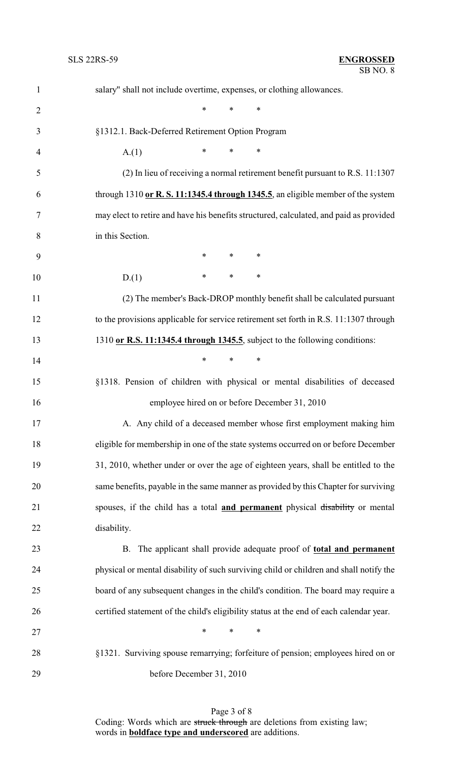| $\mathbf{1}$   | salary" shall not include overtime, expenses, or clothing allowances.                   |
|----------------|-----------------------------------------------------------------------------------------|
| $\overline{2}$ | $\ast$<br>$\ast$<br>$\ast$                                                              |
| 3              | §1312.1. Back-Deferred Retirement Option Program                                        |
| $\overline{4}$ | $\ast$<br>*<br>∗<br>A(1)                                                                |
| 5              | (2) In lieu of receiving a normal retirement benefit pursuant to R.S. 11:1307           |
| 6              | through $1310$ or R. S. 11:1345.4 through 1345.5, an eligible member of the system      |
| 7              | may elect to retire and have his benefits structured, calculated, and paid as provided  |
| 8              | in this Section.                                                                        |
| 9              | $\ast$<br>$\ast$<br>∗                                                                   |
| 10             | $\ast$<br>$\ast$<br>$\ast$<br>D(1)                                                      |
| 11             | (2) The member's Back-DROP monthly benefit shall be calculated pursuant                 |
| 12             | to the provisions applicable for service retirement set forth in R.S. 11:1307 through   |
| 13             | 1310 or R.S. 11:1345.4 through 1345.5, subject to the following conditions:             |
| 14             | $\ast$<br>∗<br>∗                                                                        |
| 15             | §1318. Pension of children with physical or mental disabilities of deceased             |
| 16             | employee hired on or before December 31, 2010                                           |
| 17             | A. Any child of a deceased member whose first employment making him                     |
| 18             | eligible for membership in one of the state systems occurred on or before December      |
| 19             | 31, 2010, whether under or over the age of eighteen years, shall be entitled to the     |
| 20             | same benefits, payable in the same manner as provided by this Chapter for surviving     |
| 21             | spouses, if the child has a total and permanent physical disability or mental           |
| 22             | disability.                                                                             |
| 23             | B. The applicant shall provide adequate proof of <b>total and permanent</b>             |
| 24             | physical or mental disability of such surviving child or children and shall notify the  |
| 25             | board of any subsequent changes in the child's condition. The board may require a       |
| 26             | certified statement of the child's eligibility status at the end of each calendar year. |
| 27             | $\ast$<br>$\ast$<br>$\ast$                                                              |
| 28             | §1321. Surviving spouse remarrying; forfeiture of pension; employees hired on or        |
| 29             | before December 31, 2010                                                                |

Page 3 of 8 Coding: Words which are struck through are deletions from existing law; words in **boldface type and underscored** are additions.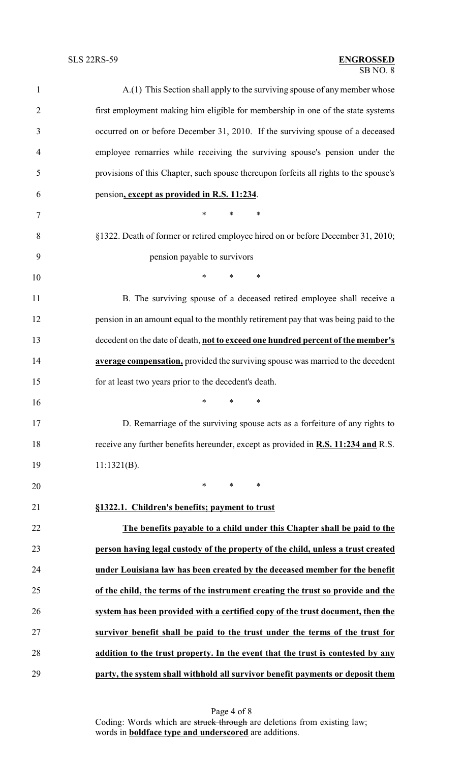## SB NO. 8 SLS 22RS-59 **ENGROSSED**

| $\mathbf{1}$   | A.(1) This Section shall apply to the surviving spouse of any member whose                |  |  |
|----------------|-------------------------------------------------------------------------------------------|--|--|
| $\overline{2}$ | first employment making him eligible for membership in one of the state systems           |  |  |
| 3              | occurred on or before December 31, 2010. If the surviving spouse of a deceased            |  |  |
| 4              | employee remarries while receiving the surviving spouse's pension under the               |  |  |
| 5              | provisions of this Chapter, such spouse thereupon forfeits all rights to the spouse's     |  |  |
| 6              | pension, except as provided in R.S. 11:234.                                               |  |  |
| 7              | *<br>*<br>∗                                                                               |  |  |
| 8              | §1322. Death of former or retired employee hired on or before December 31, 2010;          |  |  |
| 9              | pension payable to survivors                                                              |  |  |
| 10             | $\ast$<br>$\ast$<br>*                                                                     |  |  |
| 11             | B. The surviving spouse of a deceased retired employee shall receive a                    |  |  |
| 12             | pension in an amount equal to the monthly retirement pay that was being paid to the       |  |  |
| 13             | decedent on the date of death, not to exceed one hundred percent of the member's          |  |  |
| 14             | average compensation, provided the surviving spouse was married to the decedent           |  |  |
| 15             | for at least two years prior to the decedent's death.                                     |  |  |
| 16             | $\ast$<br>$\ast$<br>*                                                                     |  |  |
| 17             | D. Remarriage of the surviving spouse acts as a forfeiture of any rights to               |  |  |
| 18             | receive any further benefits hereunder, except as provided in <b>R.S. 11:234 and R.S.</b> |  |  |
| 19             | $11:1321(B)$ .                                                                            |  |  |
| 20             | $\ast$<br>$\ast$<br>$\ast$                                                                |  |  |
| 21             | §1322.1. Children's benefits; payment to trust                                            |  |  |
| 22             | The benefits payable to a child under this Chapter shall be paid to the                   |  |  |
| 23             | person having legal custody of the property of the child, unless a trust created          |  |  |
| 24             | under Louisiana law has been created by the deceased member for the benefit               |  |  |
| 25             | of the child, the terms of the instrument creating the trust so provide and the           |  |  |
| 26             | system has been provided with a certified copy of the trust document, then the            |  |  |
| 27             | survivor benefit shall be paid to the trust under the terms of the trust for              |  |  |
| 28             | addition to the trust property. In the event that the trust is contested by any           |  |  |
| 29             | party, the system shall withhold all survivor benefit payments or deposit them            |  |  |

Page 4 of 8 Coding: Words which are struck through are deletions from existing law; words in **boldface type and underscored** are additions.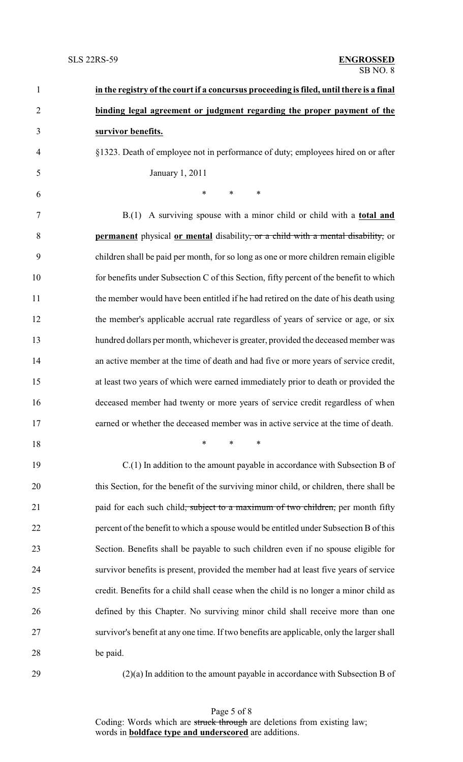| $\mathbf{1}$   | in the registry of the court if a concursus proceeding is filed, until there is a final        |
|----------------|------------------------------------------------------------------------------------------------|
| $\overline{2}$ | binding legal agreement or judgment regarding the proper payment of the                        |
| 3              | survivor benefits.                                                                             |
| $\overline{4}$ | §1323. Death of employee not in performance of duty; employees hired on or after               |
| 5              | January 1, 2011                                                                                |
| 6              | $\ast$<br>$\ast$<br>$\ast$                                                                     |
| 7              | $B(1)$ A surviving spouse with a minor child or child with a <b>total and</b>                  |
| 8              | <b>permanent</b> physical <b>or mental</b> disability, or a child with a mental disability, or |
| 9              | children shall be paid per month, for so long as one or more children remain eligible          |
| 10             | for benefits under Subsection C of this Section, fifty percent of the benefit to which         |
| 11             | the member would have been entitled if he had retired on the date of his death using           |
| 12             | the member's applicable accrual rate regardless of years of service or age, or six             |
| 13             | hundred dollars per month, whichever is greater, provided the deceased member was              |
| 14             | an active member at the time of death and had five or more years of service credit,            |
| 15             | at least two years of which were earned immediately prior to death or provided the             |
| 16             | deceased member had twenty or more years of service credit regardless of when                  |
| 17             | earned or whether the deceased member was in active service at the time of death.              |
| 18             | $\ast$<br>$\ast$<br>*                                                                          |
| 19             | $C(1)$ In addition to the amount payable in accordance with Subsection B of                    |
| 20             | this Section, for the benefit of the surviving minor child, or children, there shall be        |
| 21             | paid for each such child <del>, subject to a maximum of two children,</del> per month fifty    |
| 22             | percent of the benefit to which a spouse would be entitled under Subsection B of this          |
| 23             | Section. Benefits shall be payable to such children even if no spouse eligible for             |
| 24             | survivor benefits is present, provided the member had at least five years of service           |
| 25             | credit. Benefits for a child shall cease when the child is no longer a minor child as          |
| 26             | defined by this Chapter. No surviving minor child shall receive more than one                  |
| 27             | survivor's benefit at any one time. If two benefits are applicable, only the larger shall      |
| 28             | be paid.                                                                                       |
| 29             | $(2)(a)$ In addition to the amount payable in accordance with Subsection B of                  |

Page 5 of 8 Coding: Words which are struck through are deletions from existing law; words in **boldface type and underscored** are additions.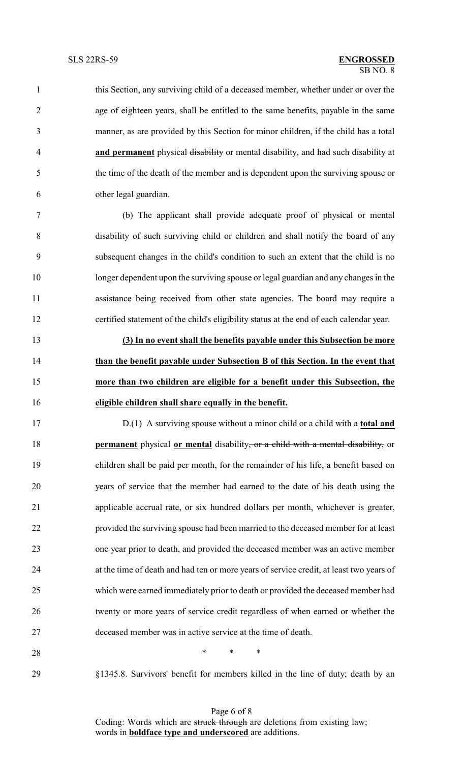this Section, any surviving child of a deceased member, whether under or over the age of eighteen years, shall be entitled to the same benefits, payable in the same manner, as are provided by this Section for minor children, if the child has a total **and permanent** physical disability or mental disability, and had such disability at the time of the death of the member and is dependent upon the surviving spouse or other legal guardian.

 (b) The applicant shall provide adequate proof of physical or mental disability of such surviving child or children and shall notify the board of any subsequent changes in the child's condition to such an extent that the child is no longer dependent upon the surviving spouse or legal guardian and any changes in the assistance being received from other state agencies. The board may require a certified statement of the child's eligibility status at the end of each calendar year.

 **(3) In no event shall the benefits payable under this Subsection be more than the benefit payable under Subsection B of this Section. In the event that more than two children are eligible for a benefit under this Subsection, the eligible children shall share equally in the benefit.**

 D.(1) A surviving spouse without a minor child or a child with a **total and permanent** physical **or mental** disability, or a child with a mental disability, or children shall be paid per month, for the remainder of his life, a benefit based on years of service that the member had earned to the date of his death using the applicable accrual rate, or six hundred dollars per month, whichever is greater, provided the surviving spouse had been married to the deceased member for at least one year prior to death, and provided the deceased member was an active member at the time of death and had ten or more years of service credit, at least two years of which were earned immediately prior to death or provided the deceased member had twenty or more years of service credit regardless of when earned or whether the deceased member was in active service at the time of death.

**\*** \* \* \*

§1345.8. Survivors' benefit for members killed in the line of duty; death by an

Page 6 of 8 Coding: Words which are struck through are deletions from existing law; words in **boldface type and underscored** are additions.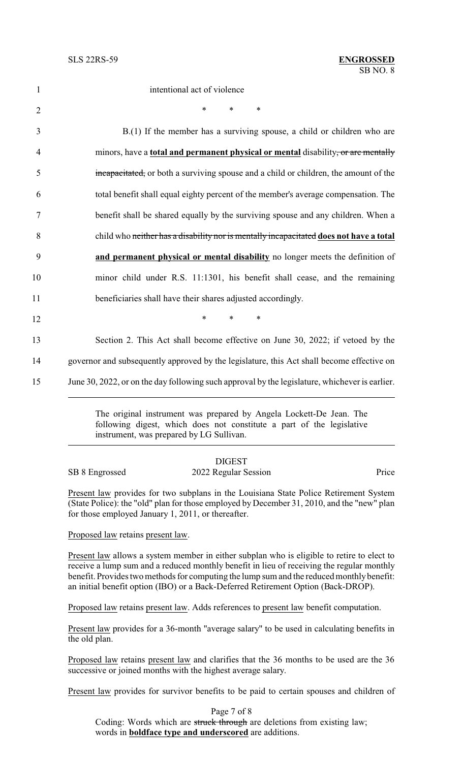intentional act of violence 2  $*$  \* \* \* B.(1) If the member has a surviving spouse, a child or children who are minors, have a **total and permanent physical or mental** disability, or are mentally incapacitated, or both a surviving spouse and a child or children, the amount of the total benefit shall equal eighty percent of the member's average compensation. The benefit shall be shared equally by the surviving spouse and any children. When a child who neither has a disability nor is mentally incapacitated **does not have a total and permanent physical or mental disability** no longer meets the definition of minor child under R.S. 11:1301, his benefit shall cease, and the remaining beneficiaries shall have their shares adjusted accordingly. 12 **\*** \* \* \* Section 2. This Act shall become effective on June 30, 2022; if vetoed by the

14 governor and subsequently approved by the legislature, this Act shall become effective on 15 June 30, 2022, or on the day following such approval by the legislature, whichever is earlier.

> The original instrument was prepared by Angela Lockett-De Jean. The following digest, which does not constitute a part of the legislative instrument, was prepared by LG Sullivan.

|                | <b>DIGEST</b>        |       |
|----------------|----------------------|-------|
| SB 8 Engrossed | 2022 Regular Session | Price |

Present law provides for two subplans in the Louisiana State Police Retirement System (State Police): the "old" plan for those employed by December 31, 2010, and the "new" plan for those employed January 1, 2011, or thereafter.

Proposed law retains present law.

Present law allows a system member in either subplan who is eligible to retire to elect to receive a lump sum and a reduced monthly benefit in lieu of receiving the regular monthly benefit. Provides two methods for computing the lump sum and the reduced monthly benefit: an initial benefit option (IBO) or a Back-Deferred Retirement Option (Back-DROP).

Proposed law retains present law. Adds references to present law benefit computation.

Present law provides for a 36-month "average salary" to be used in calculating benefits in the old plan.

Proposed law retains present law and clarifies that the 36 months to be used are the 36 successive or joined months with the highest average salary.

Present law provides for survivor benefits to be paid to certain spouses and children of

Page 7 of 8 Coding: Words which are struck through are deletions from existing law; words in **boldface type and underscored** are additions.